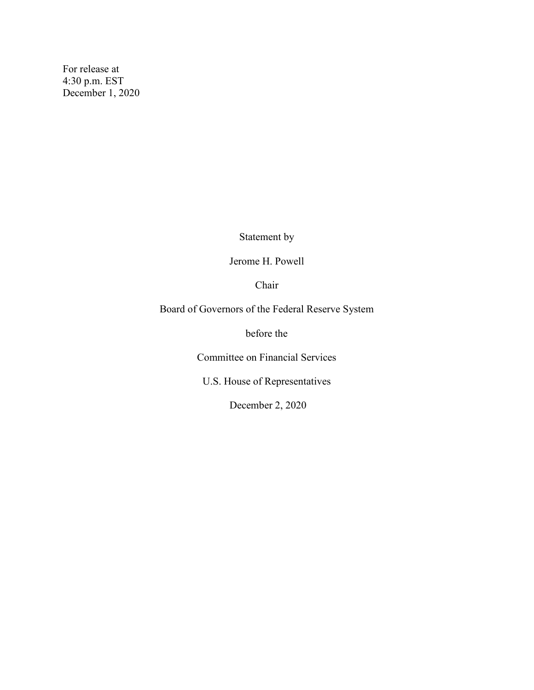For release at 4:30 p.m. EST December 1, 2020

Statement by

Jerome H. Powell

Chair

Board of Governors of the Federal Reserve System

before the

Committee on Financial Services

U.S. House of Representatives

December 2, 2020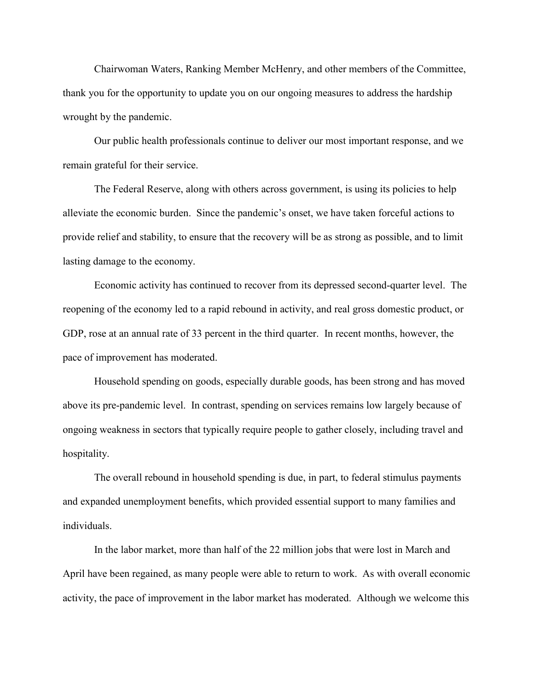Chairwoman Waters, Ranking Member McHenry, and other members of the Committee, thank you for the opportunity to update you on our ongoing measures to address the hardship wrought by the pandemic.

Our public health professionals continue to deliver our most important response, and we remain grateful for their service.

The Federal Reserve, along with others across government, is using its policies to help alleviate the economic burden. Since the pandemic's onset, we have taken forceful actions to provide relief and stability, to ensure that the recovery will be as strong as possible, and to limit lasting damage to the economy.

Economic activity has continued to recover from its depressed second-quarter level. The reopening of the economy led to a rapid rebound in activity, and real gross domestic product, or GDP, rose at an annual rate of 33 percent in the third quarter. In recent months, however, the pace of improvement has moderated.

Household spending on goods, especially durable goods, has been strong and has moved above its pre-pandemic level. In contrast, spending on services remains low largely because of ongoing weakness in sectors that typically require people to gather closely, including travel and hospitality.

The overall rebound in household spending is due, in part, to federal stimulus payments and expanded unemployment benefits, which provided essential support to many families and individuals.

In the labor market, more than half of the 22 million jobs that were lost in March and April have been regained, as many people were able to return to work. As with overall economic activity, the pace of improvement in the labor market has moderated. Although we welcome this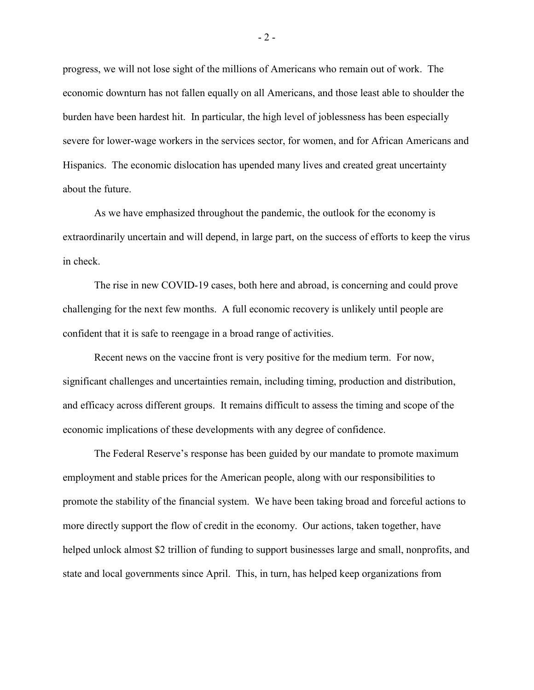progress, we will not lose sight of the millions of Americans who remain out of work. The economic downturn has not fallen equally on all Americans, and those least able to shoulder the burden have been hardest hit. In particular, the high level of joblessness has been especially severe for lower-wage workers in the services sector, for women, and for African Americans and Hispanics. The economic dislocation has upended many lives and created great uncertainty about the future.

As we have emphasized throughout the pandemic, the outlook for the economy is extraordinarily uncertain and will depend, in large part, on the success of efforts to keep the virus in check.

The rise in new COVID-19 cases, both here and abroad, is concerning and could prove challenging for the next few months. A full economic recovery is unlikely until people are confident that it is safe to reengage in a broad range of activities.

Recent news on the vaccine front is very positive for the medium term. For now, significant challenges and uncertainties remain, including timing, production and distribution, and efficacy across different groups. It remains difficult to assess the timing and scope of the economic implications of these developments with any degree of confidence.

The Federal Reserve's response has been guided by our mandate to promote maximum employment and stable prices for the American people, along with our responsibilities to promote the stability of the financial system. We have been taking broad and forceful actions to more directly support the flow of credit in the economy. Our actions, taken together, have helped unlock almost \$2 trillion of funding to support businesses large and small, nonprofits, and state and local governments since April. This, in turn, has helped keep organizations from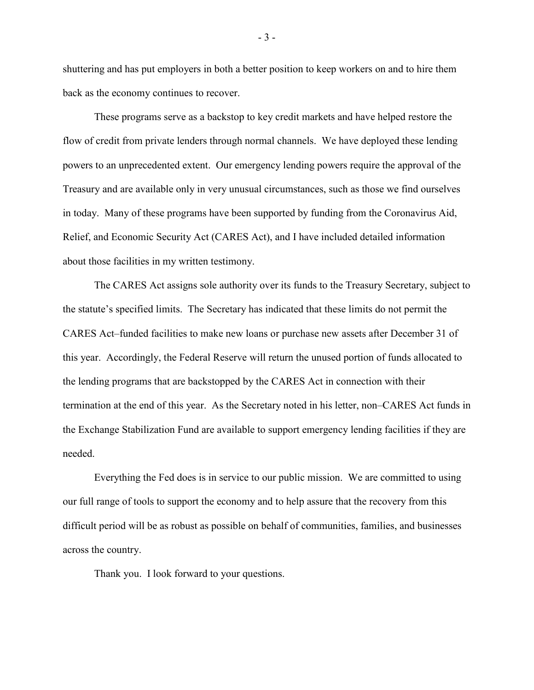shuttering and has put employers in both a better position to keep workers on and to hire them back as the economy continues to recover.

These programs serve as a backstop to key credit markets and have helped restore the flow of credit from private lenders through normal channels. We have deployed these lending powers to an unprecedented extent. Our emergency lending powers require the approval of the Treasury and are available only in very unusual circumstances, such as those we find ourselves in today. Many of these programs have been supported by funding from the Coronavirus Aid, Relief, and Economic Security Act (CARES Act), and I have included detailed information about those facilities in my written testimony.

The CARES Act assigns sole authority over its funds to the Treasury Secretary, subject to the statute's specified limits. The Secretary has indicated that these limits do not permit the CARES Act–funded facilities to make new loans or purchase new assets after December 31 of this year. Accordingly, the Federal Reserve will return the unused portion of funds allocated to the lending programs that are backstopped by the CARES Act in connection with their termination at the end of this year. As the Secretary noted in his letter, non–CARES Act funds in the Exchange Stabilization Fund are available to support emergency lending facilities if they are needed.

Everything the Fed does is in service to our public mission. We are committed to using our full range of tools to support the economy and to help assure that the recovery from this difficult period will be as robust as possible on behalf of communities, families, and businesses across the country.

Thank you. I look forward to your questions.

- 3 -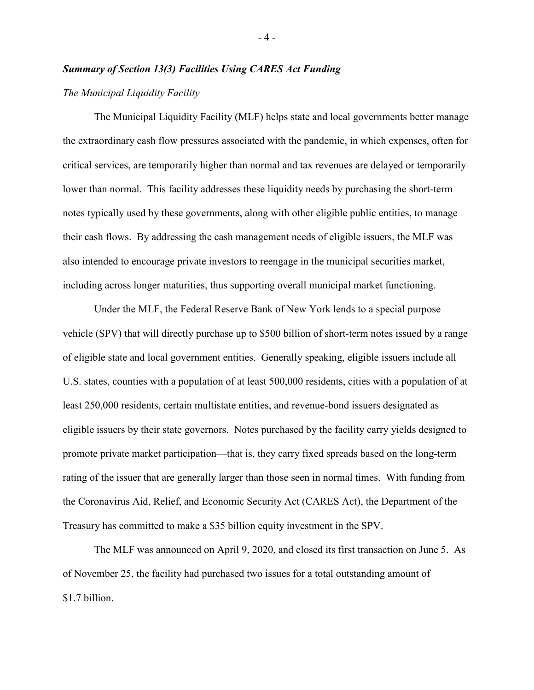## *Summary of Section 13(3) Facilities Using CARES Act Funding*

# *The Municipal Liquidity Facility*

The Municipal Liquidity Facility (MLF) helps state and local governments better manage the extraordinary cash flow pressures associated with the pandemic, in which expenses, often for critical services, are temporarily higher than normal and tax revenues are delayed or temporarily lower than normal. This facility addresses these liquidity needs by purchasing the short-term notes typically used by these governments, along with other eligible public entities, to manage their cash flows. By addressing the cash management needs of eligible issuers, the MLF was also intended to encourage private investors to reengage in the municipal securities market, including across longer maturities, thus supporting overall municipal market functioning.

Under the MLF, the Federal Reserve Bank of New York lends to a special purpose vehicle (SPV) that will directly purchase up to \$500 billion of short-term notes issued by a range of eligible state and local government entities. Generally speaking, eligible issuers include all U.S. states, counties with a population of at least 500,000 residents, cities with a population of at least 250,000 residents, certain multistate entities, and revenue-bond issuers designated as eligible issuers by their state governors. Notes purchased by the facility carry yields designed to promote private market participation—that is, they carry fixed spreads based on the long-term rating of the issuer that are generally larger than those seen in normal times. With funding from the Coronavirus Aid, Relief, and Economic Security Act (CARES Act), the Department of the Treasury has committed to make a \$35 billion equity investment in the SPV.

The MLF was announced on April 9, 2020, and closed its first transaction on June 5. As of November 25, the facility had purchased two issues for a total outstanding amount of \$1.7 billion.

- 4 -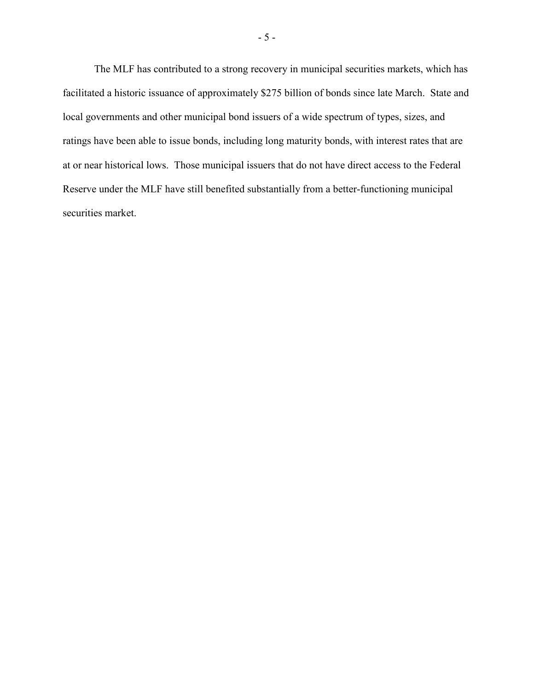The MLF has contributed to a strong recovery in municipal securities markets, which has facilitated a historic issuance of approximately \$275 billion of bonds since late March. State and local governments and other municipal bond issuers of a wide spectrum of types, sizes, and ratings have been able to issue bonds, including long maturity bonds, with interest rates that are at or near historical lows. Those municipal issuers that do not have direct access to the Federal Reserve under the MLF have still benefited substantially from a better-functioning municipal securities market.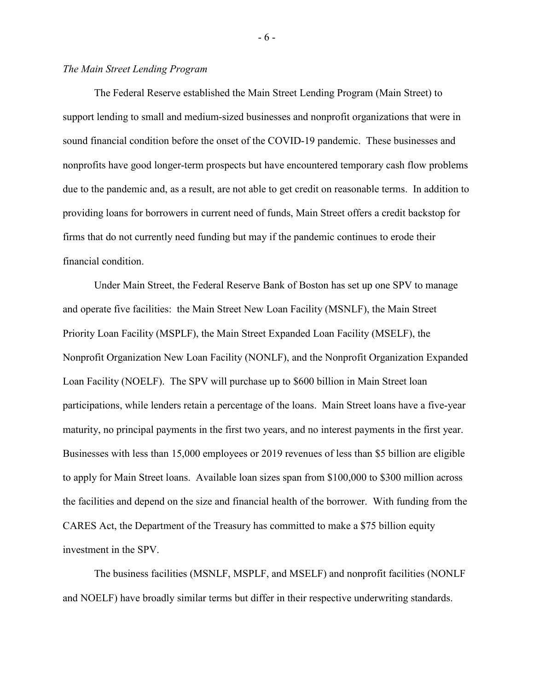# *The Main Street Lending Program*

The Federal Reserve established the Main Street Lending Program (Main Street) to support lending to small and medium-sized businesses and nonprofit organizations that were in sound financial condition before the onset of the COVID-19 pandemic. These businesses and nonprofits have good longer-term prospects but have encountered temporary cash flow problems due to the pandemic and, as a result, are not able to get credit on reasonable terms. In addition to providing loans for borrowers in current need of funds, Main Street offers a credit backstop for firms that do not currently need funding but may if the pandemic continues to erode their financial condition.

Under Main Street, the Federal Reserve Bank of Boston has set up one SPV to manage and operate five facilities: the Main Street New Loan Facility (MSNLF), the Main Street Priority Loan Facility (MSPLF), the Main Street Expanded Loan Facility (MSELF), the Nonprofit Organization New Loan Facility (NONLF), and the Nonprofit Organization Expanded Loan Facility (NOELF). The SPV will purchase up to \$600 billion in Main Street loan participations, while lenders retain a percentage of the loans. Main Street loans have a five-year maturity, no principal payments in the first two years, and no interest payments in the first year. Businesses with less than 15,000 employees or 2019 revenues of less than \$5 billion are eligible to apply for Main Street loans. Available loan sizes span from \$100,000 to \$300 million across the facilities and depend on the size and financial health of the borrower. With funding from the CARES Act, the Department of the Treasury has committed to make a \$75 billion equity investment in the SPV.

The business facilities (MSNLF, MSPLF, and MSELF) and nonprofit facilities (NONLF and NOELF) have broadly similar terms but differ in their respective underwriting standards.

- 6 -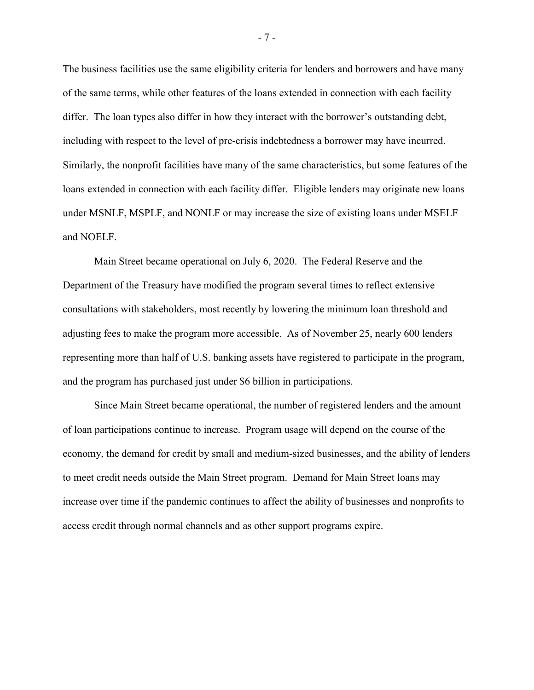The business facilities use the same eligibility criteria for lenders and borrowers and have many of the same terms, while other features of the loans extended in connection with each facility differ. The loan types also differ in how they interact with the borrower's outstanding debt, including with respect to the level of pre-crisis indebtedness a borrower may have incurred. Similarly, the nonprofit facilities have many of the same characteristics, but some features of the loans extended in connection with each facility differ. Eligible lenders may originate new loans under MSNLF, MSPLF, and NONLF or may increase the size of existing loans under MSELF and NOELF.

Main Street became operational on July 6, 2020. The Federal Reserve and the Department of the Treasury have modified the program several times to reflect extensive consultations with stakeholders, most recently by lowering the minimum loan threshold and adjusting fees to make the program more accessible. As of November 25, nearly 600 lenders representing more than half of U.S. banking assets have registered to participate in the program, and the program has purchased just under \$6 billion in participations.

Since Main Street became operational, the number of registered lenders and the amount of loan participations continue to increase. Program usage will depend on the course of the economy, the demand for credit by small and medium-sized businesses, and the ability of lenders to meet credit needs outside the Main Street program. Demand for Main Street loans may increase over time if the pandemic continues to affect the ability of businesses and nonprofits to access credit through normal channels and as other support programs expire.

- 7 -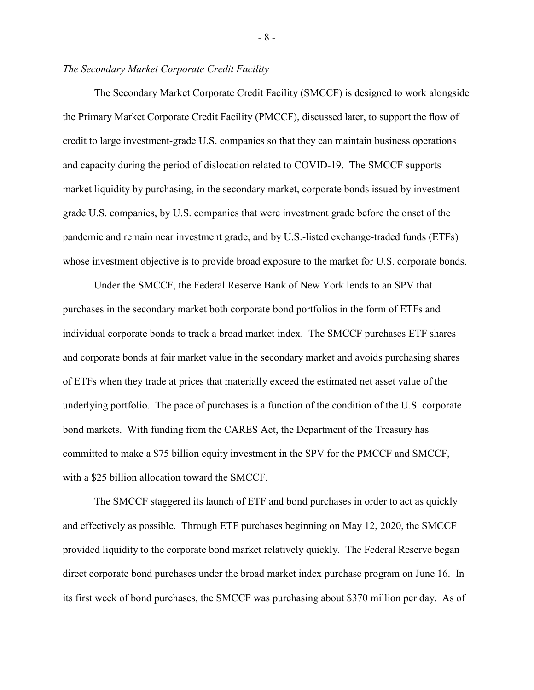## *The Secondary Market Corporate Credit Facility*

The Secondary Market Corporate Credit Facility (SMCCF) is designed to work alongside the Primary Market Corporate Credit Facility (PMCCF), discussed later, to support the flow of credit to large investment-grade U.S. companies so that they can maintain business operations and capacity during the period of dislocation related to COVID-19. The SMCCF supports market liquidity by purchasing, in the secondary market, corporate bonds issued by investmentgrade U.S. companies, by U.S. companies that were investment grade before the onset of the pandemic and remain near investment grade, and by U.S.-listed exchange-traded funds (ETFs) whose investment objective is to provide broad exposure to the market for U.S. corporate bonds.

Under the SMCCF, the Federal Reserve Bank of New York lends to an SPV that purchases in the secondary market both corporate bond portfolios in the form of ETFs and individual corporate bonds to track a broad market index. The SMCCF purchases ETF shares and corporate bonds at fair market value in the secondary market and avoids purchasing shares of ETFs when they trade at prices that materially exceed the estimated net asset value of the underlying portfolio. The pace of purchases is a function of the condition of the U.S. corporate bond markets. With funding from the CARES Act, the Department of the Treasury has committed to make a \$75 billion equity investment in the SPV for the PMCCF and SMCCF, with a \$25 billion allocation toward the SMCCF.

The SMCCF staggered its launch of ETF and bond purchases in order to act as quickly and effectively as possible. Through ETF purchases beginning on May 12, 2020, the SMCCF provided liquidity to the corporate bond market relatively quickly. The Federal Reserve began direct corporate bond purchases under the broad market index purchase program on June 16. In its first week of bond purchases, the SMCCF was purchasing about \$370 million per day. As of

- 8 -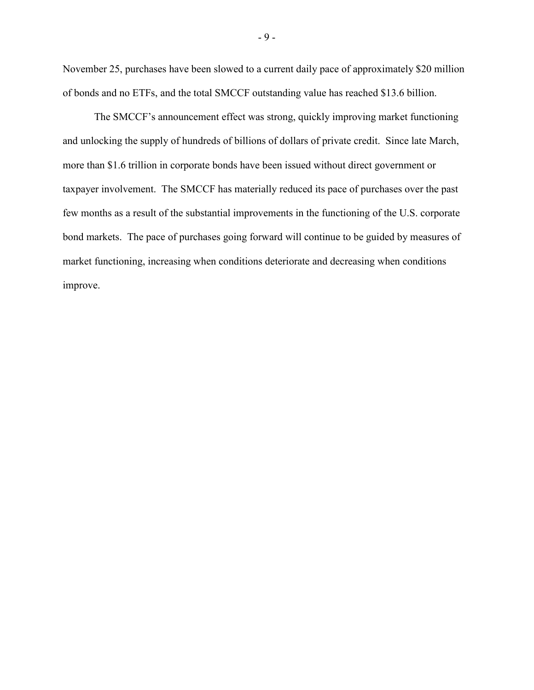November 25, purchases have been slowed to a current daily pace of approximately \$20 million of bonds and no ETFs, and the total SMCCF outstanding value has reached \$13.6 billion.

The SMCCF's announcement effect was strong, quickly improving market functioning and unlocking the supply of hundreds of billions of dollars of private credit. Since late March, more than \$1.6 trillion in corporate bonds have been issued without direct government or taxpayer involvement. The SMCCF has materially reduced its pace of purchases over the past few months as a result of the substantial improvements in the functioning of the U.S. corporate bond markets. The pace of purchases going forward will continue to be guided by measures of market functioning, increasing when conditions deteriorate and decreasing when conditions improve.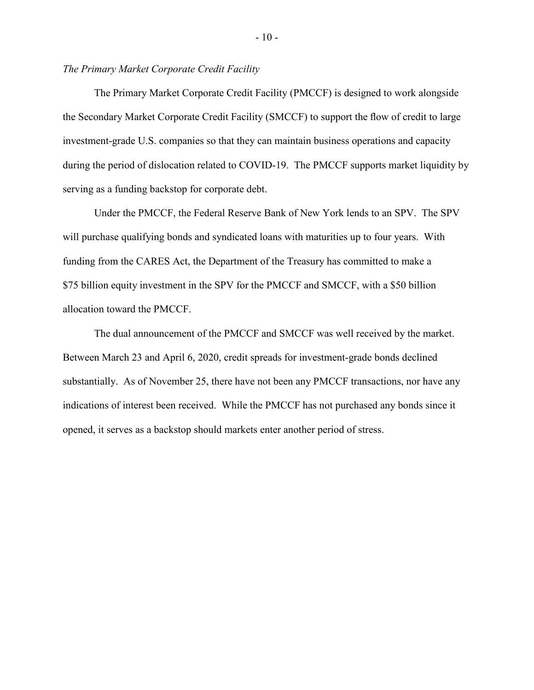## *The Primary Market Corporate Credit Facility*

The Primary Market Corporate Credit Facility (PMCCF) is designed to work alongside the Secondary Market Corporate Credit Facility (SMCCF) to support the flow of credit to large investment-grade U.S. companies so that they can maintain business operations and capacity during the period of dislocation related to COVID-19. The PMCCF supports market liquidity by serving as a funding backstop for corporate debt.

Under the PMCCF, the Federal Reserve Bank of New York lends to an SPV. The SPV will purchase qualifying bonds and syndicated loans with maturities up to four years. With funding from the CARES Act, the Department of the Treasury has committed to make a \$75 billion equity investment in the SPV for the PMCCF and SMCCF, with a \$50 billion allocation toward the PMCCF.

The dual announcement of the PMCCF and SMCCF was well received by the market. Between March 23 and April 6, 2020, credit spreads for investment-grade bonds declined substantially. As of November 25, there have not been any PMCCF transactions, nor have any indications of interest been received. While the PMCCF has not purchased any bonds since it opened, it serves as a backstop should markets enter another period of stress.